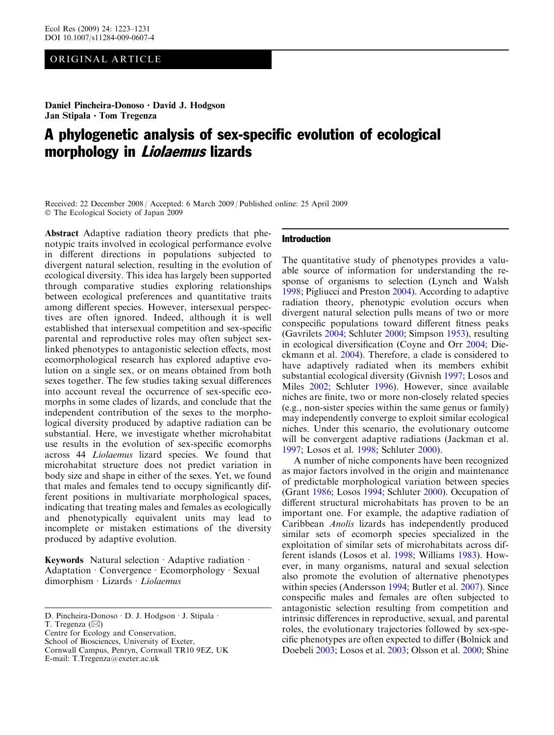# ORIGINAL ARTICLE

Daniel Pincheira-Donoso · David J. Hodgson Jan Stipala · Tom Tregenza

# A phylogenetic analysis of sex-specific evolution of ecological morphology in Liolaemus lizards

Received: 22 December 2008 / Accepted: 6 March 2009 / Published online: 25 April 2009 The Ecological Society of Japan 2009

Abstract Adaptive radiation theory predicts that phenotypic traits involved in ecological performance evolve in different directions in populations subjected to divergent natural selection, resulting in the evolution of ecological diversity. This idea has largely been supported through comparative studies exploring relationships between ecological preferences and quantitative traits among different species. However, intersexual perspectives are often ignored. Indeed, although it is well established that intersexual competition and sex-specific parental and reproductive roles may often subject sexlinked phenotypes to antagonistic selection effects, most ecomorphological research has explored adaptive evolution on a single sex, or on means obtained from both sexes together. The few studies taking sexual differences into account reveal the occurrence of sex-specific ecomorphs in some clades of lizards, and conclude that the independent contribution of the sexes to the morphological diversity produced by adaptive radiation can be substantial. Here, we investigate whether microhabitat use results in the evolution of sex-specific ecomorphs across 44 Liolaemus lizard species. We found that microhabitat structure does not predict variation in body size and shape in either of the sexes. Yet, we found that males and females tend to occupy significantly different positions in multivariate morphological spaces, indicating that treating males and females as ecologically and phenotypically equivalent units may lead to incomplete or mistaken estimations of the diversity produced by adaptive evolution.

Keywords Natural selection  $\cdot$  Adaptive radiation  $\cdot$ Adaptation · Convergence · Ecomorphology · Sexual  $dimorphism \cdot Lizards \cdot Liolaemus$ 

T. Tregenza  $(\boxtimes)$ 

Centre for Ecology and Conservation, School of Biosciences, University of Exeter,

Cornwall Campus, Penryn, Cornwall TR10 9EZ, UK

E-mail: T.Tregenza@exeter.ac.uk

## Introduction

The quantitative study of phenotypes provides a valuable source of information for understanding the response of organisms to selection (Lynch and Walsh [1998;](#page-8-0) Pigliucci and Preston [2004](#page-8-0)). According to adaptive radiation theory, phenotypic evolution occurs when divergent natural selection pulls means of two or more conspecific populations toward different fitness peaks (Gavrilets [2004;](#page-7-0) Schluter [2000](#page-8-0); Simpson [1953\)](#page-8-0), resulting in ecological diversification (Coyne and Orr [2004;](#page-7-0) Dieckmann et al. [2004\)](#page-7-0). Therefore, a clade is considered to have adaptively radiated when its members exhibit substantial ecological diversity (Givnish [1997](#page-7-0); Losos and Miles [2002](#page-8-0); Schluter [1996\)](#page-8-0). However, since available niches are finite, two or more non-closely related species (e.g., non-sister species within the same genus or family) may independently converge to exploit similar ecological niches. Under this scenario, the evolutionary outcome will be convergent adaptive radiations (Jackman et al. [1997;](#page-7-0) Losos et al. [1998](#page-8-0); Schluter [2000\)](#page-8-0).

A number of niche components have been recognized as major factors involved in the origin and maintenance of predictable morphological variation between species (Grant [1986](#page-7-0); Losos [1994](#page-8-0); Schluter [2000\)](#page-8-0). Occupation of different structural microhabitats has proven to be an important one. For example, the adaptive radiation of Caribbean Anolis lizards has independently produced similar sets of ecomorph species specialized in the exploitation of similar sets of microhabitats across different islands (Losos et al. [1998](#page-8-0); Williams [1983\)](#page-8-0). However, in many organisms, natural and sexual selection also promote the evolution of alternative phenotypes within species (Andersson [1994;](#page-7-0) Butler et al. [2007\)](#page-7-0). Since conspecific males and females are often subjected to antagonistic selection resulting from competition and intrinsic differences in reproductive, sexual, and parental roles, the evolutionary trajectories followed by sex-specific phenotypes are often expected to differ (Bolnick and Doebeli [2003;](#page-7-0) Losos et al. [2003](#page-8-0); Olsson et al. [2000;](#page-8-0) Shine

D. Pincheira-Donoso · D. J. Hodgson · J. Stipala ·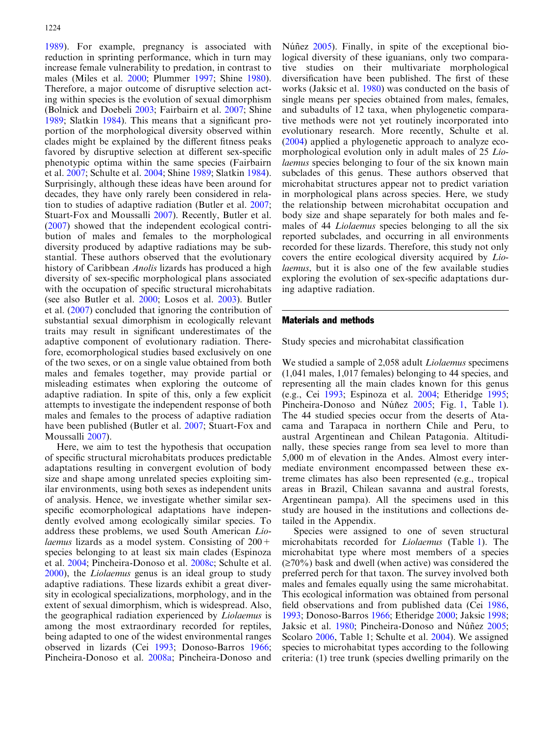[1989](#page-8-0)). For example, pregnancy is associated with reduction in sprinting performance, which in turn may increase female vulnerability to predation, in contrast to males (Miles et al. [2000](#page-8-0); Plummer [1997](#page-8-0); Shine [1980\)](#page-8-0). Therefore, a major outcome of disruptive selection acting within species is the evolution of sexual dimorphism (Bolnick and Doebeli [2003;](#page-7-0) Fairbairn et al. [2007;](#page-7-0) Shine [1989](#page-8-0); Slatkin [1984](#page-8-0)). This means that a significant proportion of the morphological diversity observed within clades might be explained by the different fitness peaks favored by disruptive selection at different sex-specific phenotypic optima within the same species (Fairbairn et al. [2007;](#page-7-0) Schulte et al. [2004](#page-8-0); Shine [1989](#page-8-0); Slatkin [1984\)](#page-8-0). Surprisingly, although these ideas have been around for decades, they have only rarely been considered in relation to studies of adaptive radiation (Butler et al. [2007](#page-7-0); Stuart-Fox and Moussalli [2007\)](#page-8-0). Recently, Butler et al. ([2007\)](#page-7-0) showed that the independent ecological contribution of males and females to the morphological diversity produced by adaptive radiations may be substantial. These authors observed that the evolutionary history of Caribbean Anolis lizards has produced a high diversity of sex-specific morphological plans associated with the occupation of specific structural microhabitats (see also Butler et al. [2000;](#page-7-0) Losos et al. [2003\)](#page-8-0). Butler et al. ([2007](#page-7-0)) concluded that ignoring the contribution of substantial sexual dimorphism in ecologically relevant traits may result in significant underestimates of the adaptive component of evolutionary radiation. Therefore, ecomorphological studies based exclusively on one of the two sexes, or on a single value obtained from both males and females together, may provide partial or misleading estimates when exploring the outcome of adaptive radiation. In spite of this, only a few explicit attempts to investigate the independent response of both males and females to the process of adaptive radiation have been published (Butler et al. [2007;](#page-7-0) Stuart-Fox and Moussalli [2007](#page-8-0)).

Here, we aim to test the hypothesis that occupation of specific structural microhabitats produces predictable adaptations resulting in convergent evolution of body size and shape among unrelated species exploiting similar environments, using both sexes as independent units of analysis. Hence, we investigate whether similar sexspecific ecomorphological adaptations have independently evolved among ecologically similar species. To address these problems, we used South American Lio*laemus* lizards as a model system. Consisting of  $200 +$ species belonging to at least six main clades (Espinoza et al. [2004;](#page-7-0) Pincheira-Donoso et al. [2008c;](#page-8-0) Schulte et al. [2000](#page-8-0)), the Liolaemus genus is an ideal group to study adaptive radiations. These lizards exhibit a great diversity in ecological specializations, morphology, and in the extent of sexual dimorphism, which is widespread. Also, the geographical radiation experienced by Liolaemus is among the most extraordinary recorded for reptiles, being adapted to one of the widest environmental ranges observed in lizards (Cei [1993;](#page-7-0) Donoso-Barros [1966](#page-7-0); Pincheira-Donoso et al. [2008a;](#page-8-0) Pincheira-Donoso and

Núñez [2005\)](#page-8-0). Finally, in spite of the exceptional biological diversity of these iguanians, only two comparative studies on their multivariate morphological diversification have been published. The first of these works (Jaksic et al. [1980\)](#page-7-0) was conducted on the basis of single means per species obtained from males, females, and subadults of 12 taxa, when phylogenetic comparative methods were not yet routinely incorporated into evolutionary research. More recently, Schulte et al. ([2004](#page-8-0)) applied a phylogenetic approach to analyze ecomorphological evolution only in adult males of 25 Liolaemus species belonging to four of the six known main subclades of this genus. These authors observed that microhabitat structures appear not to predict variation in morphological plans across species. Here, we study the relationship between microhabitat occupation and body size and shape separately for both males and females of 44 *Liolaemus* species belonging to all the six reported subclades, and occurring in all environments recorded for these lizards. Therefore, this study not only covers the entire ecological diversity acquired by Liolaemus, but it is also one of the few available studies exploring the evolution of sex-specific adaptations during adaptive radiation.

## Materials and methods

Study species and microhabitat classification

We studied a sample of 2,058 adult *Liolaemus* specimens (1,041 males, 1,017 females) belonging to 44 species, and representing all the main clades known for this genus (e.g., Cei [1993;](#page-7-0) Espinoza et al. [2004;](#page-7-0) Etheridge [1995](#page-7-0); Pincheira-Donoso and Núñez [2005;](#page-8-0) Fig. [1](#page-2-0), Table [1\)](#page-3-0). The 44 studied species occur from the deserts of Atacama and Tarapaca in northern Chile and Peru, to austral Argentinean and Chilean Patagonia. Altitudinally, these species range from sea level to more than 5,000 m of elevation in the Andes. Almost every intermediate environment encompassed between these extreme climates has also been represented (e.g., tropical areas in Brazil, Chilean savanna and austral forests, Argentinean pampa). All the specimens used in this study are housed in the institutions and collections detailed in the Appendix.

Species were assigned to one of seven structural microhabitats recorded for Liolaemus (Table [1](#page-3-0)). The microhabitat type where most members of a species  $(\geq 70\%)$  bask and dwell (when active) was considered the preferred perch for that taxon. The survey involved both males and females equally using the same microhabitat. This ecological information was obtained from personal field observations and from published data (Cei [1986](#page-7-0), [1993;](#page-7-0) Donoso-Barros [1966](#page-7-0); Etheridge [2000;](#page-7-0) Jaksic [1998](#page-7-0); Jaksic et al. [1980;](#page-7-0) Pincheira-Donoso and Núñez [2005](#page-8-0); Scolaro [2006,](#page-8-0) Table 1; Schulte et al. [2004\)](#page-8-0). We assigned species to microhabitat types according to the following criteria: (1) tree trunk (species dwelling primarily on the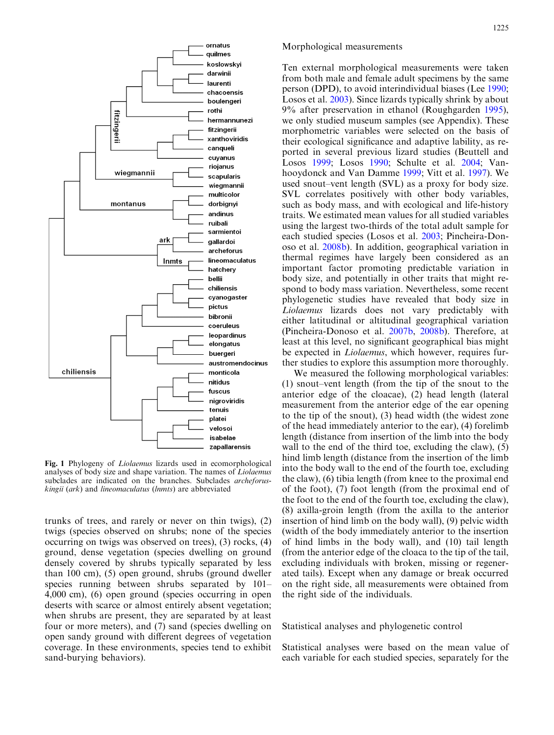<span id="page-2-0"></span>

Fig. 1 Phylogeny of Liolaemus lizards used in ecomorphological analyses of body size and shape variation. The names of Liolaemus subclades are indicated on the branches. Subclades archeforuskingii (ark) and lineomaculatus (lnmts) are abbreviated

trunks of trees, and rarely or never on thin twigs), (2) twigs (species observed on shrubs; none of the species occurring on twigs was observed on trees), (3) rocks, (4) ground, dense vegetation (species dwelling on ground densely covered by shrubs typically separated by less than 100 cm), (5) open ground, shrubs (ground dweller species running between shrubs separated by 101– 4,000 cm), (6) open ground (species occurring in open deserts with scarce or almost entirely absent vegetation; when shrubs are present, they are separated by at least four or more meters), and (7) sand (species dwelling on open sandy ground with different degrees of vegetation coverage. In these environments, species tend to exhibit sand-burying behaviors).

## Morphological measurements

Ten external morphological measurements were taken from both male and female adult specimens by the same person (DPD), to avoid interindividual biases (Lee [1990](#page-8-0); Losos et al. [2003](#page-8-0)). Since lizards typically shrink by about 9% after preservation in ethanol (Roughgarden [1995\)](#page-8-0), we only studied museum samples (see Appendix). These morphometric variables were selected on the basis of their ecological significance and adaptive lability, as reported in several previous lizard studies (Beuttell and Losos [1999;](#page-7-0) Losos [1990;](#page-8-0) Schulte et al. [2004;](#page-8-0) Vanhooydonck and Van Damme [1999](#page-8-0); Vitt et al. [1997](#page-8-0)). We used snout–vent length (SVL) as a proxy for body size. SVL correlates positively with other body variables, such as body mass, and with ecological and life-history traits. We estimated mean values for all studied variables using the largest two-thirds of the total adult sample for each studied species (Losos et al. [2003;](#page-8-0) Pincheira-Donoso et al. [2008b\)](#page-8-0). In addition, geographical variation in thermal regimes have largely been considered as an important factor promoting predictable variation in body size, and potentially in other traits that might respond to body mass variation. Nevertheless, some recent phylogenetic studies have revealed that body size in Liolaemus lizards does not vary predictably with either latitudinal or altitudinal geographical variation (Pincheira-Donoso et al. [2007b](#page-8-0), [2008b\)](#page-8-0). Therefore, at least at this level, no significant geographical bias might be expected in *Liolaemus*, which however, requires further studies to explore this assumption more thoroughly.

We measured the following morphological variables: (1) snout–vent length (from the tip of the snout to the anterior edge of the cloacae), (2) head length (lateral measurement from the anterior edge of the ear opening to the tip of the snout), (3) head width (the widest zone of the head immediately anterior to the ear), (4) forelimb length (distance from insertion of the limb into the body wall to the end of the third toe, excluding the claw), (5) hind limb length (distance from the insertion of the limb into the body wall to the end of the fourth toe, excluding the claw), (6) tibia length (from knee to the proximal end of the foot), (7) foot length (from the proximal end of the foot to the end of the fourth toe, excluding the claw), (8) axilla-groin length (from the axilla to the anterior insertion of hind limb on the body wall), (9) pelvic width (width of the body immediately anterior to the insertion of hind limbs in the body wall), and (10) tail length (from the anterior edge of the cloaca to the tip of the tail, excluding individuals with broken, missing or regenerated tails). Except when any damage or break occurred on the right side, all measurements were obtained from the right side of the individuals.

Statistical analyses and phylogenetic control

Statistical analyses were based on the mean value of each variable for each studied species, separately for the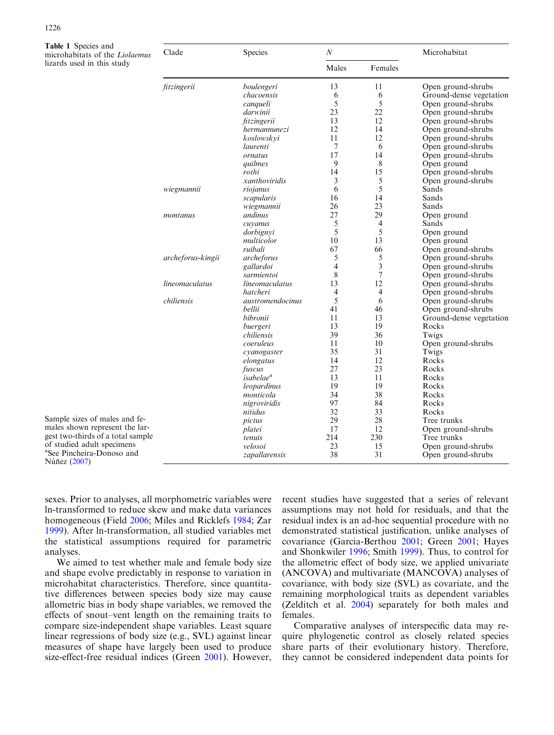<span id="page-3-0"></span>

| Table 1 Species and<br>microhabitats of the Liolaemus | Clade             | Species                         | $\cal N$ |                | Microhabitat            |  |
|-------------------------------------------------------|-------------------|---------------------------------|----------|----------------|-------------------------|--|
| lizards used in this study                            |                   |                                 | Males    | Females        |                         |  |
|                                                       | fitzingerii       | boulengeri                      | 13       | 11             | Open ground-shrubs      |  |
|                                                       |                   | chacoensis                      | 6        | 6              | Ground-dense vegetation |  |
|                                                       |                   | canqueli                        | 5        | 5              | Open ground-shrubs      |  |
|                                                       |                   | darwinii                        | 23       | 22             | Open ground-shrubs      |  |
|                                                       |                   | fitzingerii                     | 13       | 12             | Open ground-shrubs      |  |
|                                                       |                   | hermannunezi                    | 12       | 14             | Open ground-shrubs      |  |
|                                                       |                   | koslowskvi                      | 11       | 12             | Open ground-shrubs      |  |
|                                                       |                   | laurenti                        | 7        | 6              | Open ground-shrubs      |  |
|                                                       |                   | ornatus                         | 17       | 14             | Open ground-shrubs      |  |
|                                                       |                   | quilmes                         | 9        | 8              | Open ground             |  |
|                                                       |                   | rothi                           | 14       | 15             | Open ground-shrubs      |  |
|                                                       |                   | xanthoviridis                   | 3        | 5              | Open ground-shrubs      |  |
|                                                       | wiegmannii        | riojanus                        | 6        | 5              | Sands                   |  |
|                                                       |                   | scapularis                      | 16       | 14             | Sands                   |  |
|                                                       |                   | wiegmannii                      | 26       | 23             | Sands                   |  |
|                                                       | montanus          | andinus                         | 27       | 29             | Open ground             |  |
|                                                       |                   | cuyanus                         | 5        | 4              | Sands                   |  |
|                                                       |                   | dorbignyi                       | 5        | 5              | Open ground             |  |
|                                                       |                   | multicolor                      | 10       | 13             | Open ground             |  |
|                                                       |                   | ruibali                         | 67       | 66             | Open ground-shrubs      |  |
|                                                       | archeforus-kingii | archeforus                      | 5        | 5              | Open ground-shrubs      |  |
|                                                       |                   | gallardoi                       | 4        | 3              | Open ground-shrubs      |  |
|                                                       |                   | sarmientoi                      | 8        | 7              | Open ground-shrubs      |  |
|                                                       | lineomaculatus    | lineomaculatus                  | 13       | 12             | Open ground-shrubs      |  |
|                                                       |                   | hatcheri                        | 4        | $\overline{4}$ | Open ground-shrubs      |  |
|                                                       | chiliensis        | austromendocinus                | 5        | 6              | Open ground-shrubs      |  |
|                                                       |                   | bellii                          | 41       | 46             | Open ground-shrubs      |  |
|                                                       |                   | bibronii                        | 11       | 13             | Ground-dense vegetation |  |
|                                                       |                   | buergeri                        | 13       | 19             | Rocks                   |  |
|                                                       |                   | chiliensis                      | 39       | 36<br>10       | Twigs                   |  |
|                                                       |                   | coeruleus                       | 11<br>35 | 31             | Open ground-shrubs      |  |
|                                                       |                   | cyanogaster                     | 14       | 12             | Twigs<br>Rocks          |  |
|                                                       |                   | elongatus                       | 27       | 23             |                         |  |
|                                                       |                   | fuscus<br>isabelae <sup>a</sup> | 13       | 11             | Rocks<br>Rocks          |  |
|                                                       |                   | leopardinus                     | 19       | 19             | Rocks                   |  |
|                                                       |                   | monticola                       | 34       | 38             | Rocks                   |  |
|                                                       |                   | nigroviridis                    | 97       | 84             | Rocks                   |  |
|                                                       |                   | nitidus                         | 32       | 33             | Rocks                   |  |
| Sample sizes of males and fe-                         |                   | pictus                          | 29       | 28             | Tree trunks             |  |
| males shown represent the lar-                        |                   |                                 | 17       | 12             | Open ground-shrubs      |  |
| gest two-thirds of a total sample                     |                   | platei<br>tenuis                | 214      | 230            | Tree trunks             |  |
| of studied adult specimens                            |                   | velosoi                         | 23       | 15             | Open ground-shrubs      |  |
| <sup>a</sup> See Pincheira-Donoso and                 |                   | zapallarensis                   | 38       | 31             | Open ground-shrubs      |  |
| Núñez (2007)                                          |                   |                                 |          |                |                         |  |

sexes. Prior to analyses, all morphometric variables were ln-transformed to reduce skew and make data variances homogeneous (Field [2006](#page-7-0); Miles and Ricklefs [1984](#page-8-0); Zar [1999](#page-8-0)). After ln-transformation, all studied variables met the statistical assumptions required for parametric analyses.

Núñez ([2007\)](#page-8-0)

We aimed to test whether male and female body size and shape evolve predictably in response to variation in microhabitat characteristics. Therefore, since quantitative differences between species body size may cause allometric bias in body shape variables, we removed the effects of snout–vent length on the remaining traits to compare size-independent shape variables. Least square linear regressions of body size (e.g., SVL) against linear measures of shape have largely been used to produce size-effect-free residual indices (Green [2001\)](#page-7-0). However, recent studies have suggested that a series of relevant assumptions may not hold for residuals, and that the residual index is an ad-hoc sequential procedure with no demonstrated statistical justification, unlike analyses of covariance (Garcia-Berthou [2001](#page-7-0); Green [2001](#page-7-0); Hayes and Shonkwiler [1996](#page-7-0); Smith [1999](#page-8-0)). Thus, to control for the allometric effect of body size, we applied univariate (ANCOVA) and multivariate (MANCOVA) analyses of covariance, with body size (SVL) as covariate, and the remaining morphological traits as dependent variables (Zelditch et al. [2004\)](#page-8-0) separately for both males and females.

Comparative analyses of interspecific data may require phylogenetic control as closely related species share parts of their evolutionary history. Therefore, they cannot be considered independent data points for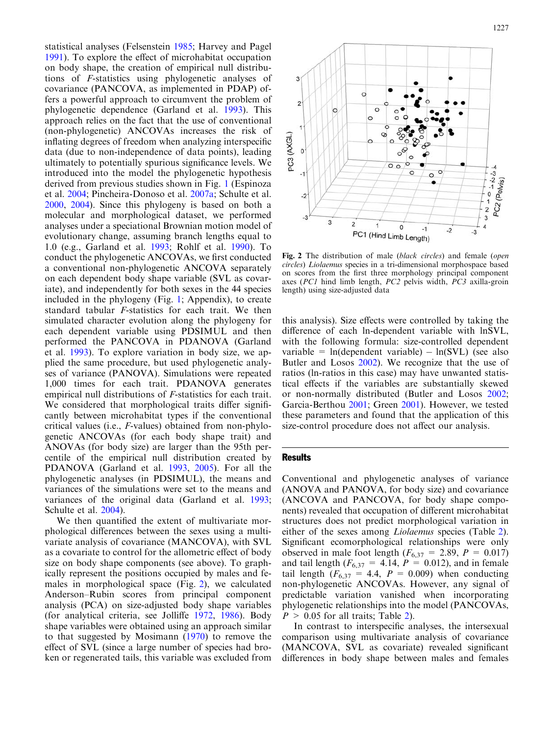<span id="page-4-0"></span>statistical analyses (Felsenstein [1985](#page-7-0); Harvey and Pagel [1991](#page-7-0)). To explore the effect of microhabitat occupation on body shape, the creation of empirical null distributions of F-statistics using phylogenetic analyses of covariance (PANCOVA, as implemented in PDAP) offers a powerful approach to circumvent the problem of phylogenetic dependence (Garland et al. [1993\)](#page-7-0). This approach relies on the fact that the use of conventional (non-phylogenetic) ANCOVAs increases the risk of inflating degrees of freedom when analyzing interspecific data (due to non-independence of data points), leading ultimately to potentially spurious significance levels. We introduced into the model the phylogenetic hypothesis derived from previous studies shown in Fig. [1](#page-2-0) (Espinoza et al. [2004;](#page-7-0) Pincheira-Donoso et al. [2007a](#page-8-0); Schulte et al. [2000](#page-8-0), [2004](#page-8-0)). Since this phylogeny is based on both a molecular and morphological dataset, we performed analyses under a speciational Brownian motion model of evolutionary change, assuming branch lengths equal to 1.0 (e.g., Garland et al. [1993](#page-7-0); Rohlf et al. [1990](#page-8-0)). To conduct the phylogenetic ANCOVAs, we first conducted a conventional non-phylogenetic ANCOVA separately on each dependent body shape variable (SVL as covariate), and independently for both sexes in the 44 species included in the phylogeny (Fig. [1](#page-2-0); Appendix), to create standard tabular F-statistics for each trait. We then simulated character evolution along the phylogeny for each dependent variable using PDSIMUL and then performed the PANCOVA in PDANOVA (Garland et al. [1993](#page-7-0)). To explore variation in body size, we applied the same procedure, but used phylogenetic analyses of variance (PANOVA). Simulations were repeated 1,000 times for each trait. PDANOVA generates empirical null distributions of F-statistics for each trait. We considered that morphological traits differ significantly between microhabitat types if the conventional critical values (i.e., F-values) obtained from non-phylogenetic ANCOVAs (for each body shape trait) and ANOVAs (for body size) are larger than the 95th percentile of the empirical null distribution created by PDANOVA (Garland et al. [1993](#page-7-0), [2005\)](#page-7-0). For all the phylogenetic analyses (in PDSIMUL), the means and variances of the simulations were set to the means and variances of the original data (Garland et al. [1993](#page-7-0); Schulte et al. [2004\)](#page-8-0).

We then quantified the extent of multivariate morphological differences between the sexes using a multivariate analysis of covariance (MANCOVA), with SVL as a covariate to control for the allometric effect of body size on body shape components (see above). To graphically represent the positions occupied by males and females in morphological space (Fig. 2), we calculated Anderson–Rubin scores from principal component analysis (PCA) on size-adjusted body shape variables (for analytical criteria, see Jolliffe [1972,](#page-7-0) [1986](#page-7-0)). Body shape variables were obtained using an approach similar to that suggested by Mosimann [\(1970](#page-8-0)) to remove the effect of SVL (since a large number of species had broken or regenerated tails, this variable was excluded from



Fig. 2 The distribution of male (black circles) and female (open circles) Liolaemus species in a tri-dimensional morphospace based on scores from the first three morphology principal component axes (PC1 hind limb length, PC2 pelvis width, PC3 axilla-groin length) using size-adjusted data

this analysis). Size effects were controlled by taking the difference of each ln-dependent variable with lnSVL, with the following formula: size-controlled dependent variable =  $ln(dependent variable) - ln(SVL)$  (see also Butler and Losos [2002\)](#page-7-0). We recognize that the use of ratios (ln-ratios in this case) may have unwanted statistical effects if the variables are substantially skewed or non-normally distributed (Butler and Losos [2002](#page-7-0); Garcia-Berthou [2001](#page-7-0); Green [2001\)](#page-7-0). However, we tested these parameters and found that the application of this size-control procedure does not affect our analysis.

## **Results**

Conventional and phylogenetic analyses of variance (ANOVA and PANOVA, for body size) and covariance (ANCOVA and PANCOVA, for body shape components) revealed that occupation of different microhabitat structures does not predict morphological variation in either of the sexes among Liolaemus species (Table [2\)](#page-5-0). Significant ecomorphological relationships were only observed in male foot length ( $F_{6,37} = 2.89$ ,  $P = 0.017$ ) and tail length ( $F_{6,37} = 4.14$ ,  $P = 0.012$ ), and in female tail length ( $F_{6,37} = 4.4$ ,  $P = 0.009$ ) when conducting non-phylogenetic ANCOVAs. However, any signal of predictable variation vanished when incorporating phylogenetic relationships into the model (PANCOVAs,  $P > 0.05$  for all traits; Table [2](#page-5-0)).

In contrast to interspecific analyses, the intersexual comparison using multivariate analysis of covariance (MANCOVA, SVL as covariate) revealed significant differences in body shape between males and females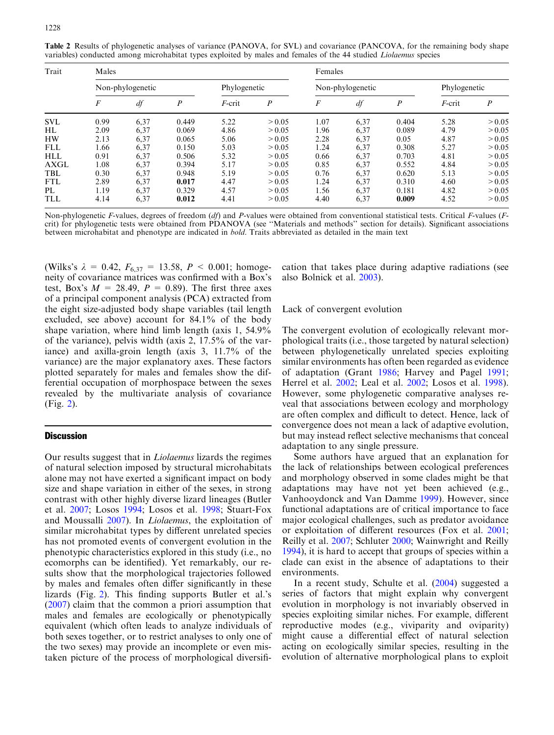| Trait       | Males            |      |       |              |                  | Females          |      |                  |              |                  |
|-------------|------------------|------|-------|--------------|------------------|------------------|------|------------------|--------------|------------------|
|             | Non-phylogenetic |      |       | Phylogenetic |                  | Non-phylogenetic |      |                  | Phylogenetic |                  |
|             | F                | df   | P     | $F$ -crit    | $\boldsymbol{P}$ | F                | df   | $\boldsymbol{p}$ | $F$ -crit    | $\boldsymbol{P}$ |
| <b>SVL</b>  | 0.99             | 6,37 | 0.449 | 5.22         | > 0.05           | 1.07             | 6,37 | 0.404            | 5.28         | > 0.05           |
| HL          | 2.09             | 6,37 | 0.069 | 4.86         | > 0.05           | 1.96             | 6,37 | 0.089            | 4.79         | > 0.05           |
| <b>HW</b>   | 2.13             | 6,37 | 0.065 | 5.06         | > 0.05           | 2.28             | 6,37 | 0.05             | 4.87         | > 0.05           |
| <b>FLL</b>  | l.66             | 6,37 | 0.150 | 5.03         | > 0.05           | 1.24             | 6,37 | 0.308            | 5.27         | > 0.05           |
| <b>HLL</b>  | 0.91             | 6,37 | 0.506 | 5.32         | > 0.05           | 0.66             | 6,37 | 0.703            | 4.81         | > 0.05           |
| <b>AXGL</b> | 1.08             | 6,37 | 0.394 | 5.17         | > 0.05           | 0.85             | 6,37 | 0.552            | 4.84         | > 0.05           |
| TBL         | 0.30             | 6,37 | 0.948 | 5.19         | > 0.05           | 0.76             | 6,37 | 0.620            | 5.13         | > 0.05           |
| <b>FTL</b>  | 2.89             | 6,37 | 0.017 | 4.47         | > 0.05           | 1.24             | 6,37 | 0.310            | 4.60         | > 0.05           |
| PL          | 1.19             | 6,37 | 0.329 | 4.57         | > 0.05           | 1.56             | 6,37 | 0.181            | 4.82         | > 0.05           |
| <b>TLL</b>  | 4.14             | 6,37 | 0.012 | 4.41         | > 0.05           | 4.40             | 6,37 | 0.009            | 4.52         | > 0.05           |

<span id="page-5-0"></span>Table 2 Results of phylogenetic analyses of variance (PANOVA, for SVL) and covariance (PANCOVA, for the remaining body shape variables) conducted among microhabitat types exploited by males and females of the 44 studied Liolaemus species

Non-phylogenetic F-values, degrees of freedom  $(df)$  and P-values were obtained from conventional statistical tests. Critical F-values (Fcrit) for phylogenetic tests were obtained from PDANOVA (see ''Materials and methods'' section for details). Significant associations between microhabitat and phenotype are indicated in bold. Traits abbreviated as detailed in the main text

(Wilks's  $\lambda = 0.42$ ,  $F_{6,37} = 13.58$ ,  $P < 0.001$ ; homogeneity of covariance matrices was confirmed with a Box's test, Box's  $M = 28.49$ ,  $P = 0.89$ ). The first three axes of a principal component analysis (PCA) extracted from the eight size-adjusted body shape variables (tail length excluded, see above) account for 84.1% of the body shape variation, where hind limb length (axis 1, 54.9% of the variance), pelvis width (axis 2, 17.5% of the variance) and axilla-groin length (axis 3, 11.7% of the variance) are the major explanatory axes. These factors plotted separately for males and females show the differential occupation of morphospace between the sexes revealed by the multivariate analysis of covariance (Fig. [2](#page-4-0)).

## **Discussion**

Our results suggest that in Liolaemus lizards the regimes of natural selection imposed by structural microhabitats alone may not have exerted a significant impact on body size and shape variation in either of the sexes, in strong contrast with other highly diverse lizard lineages (Butler et al. [2007](#page-7-0); Losos [1994;](#page-8-0) Losos et al. [1998](#page-8-0); Stuart-Fox and Moussalli [2007](#page-8-0)). In Liolaemus, the exploitation of similar microhabitat types by different unrelated species has not promoted events of convergent evolution in the phenotypic characteristics explored in this study (i.e., no ecomorphs can be identified). Yet remarkably, our results show that the morphological trajectories followed by males and females often differ significantly in these lizards (Fig. [2\)](#page-4-0). This finding supports Butler et al.'s ([2007\)](#page-7-0) claim that the common a priori assumption that males and females are ecologically or phenotypically equivalent (which often leads to analyze individuals of both sexes together, or to restrict analyses to only one of the two sexes) may provide an incomplete or even mistaken picture of the process of morphological diversification that takes place during adaptive radiations (see also Bolnick et al. [2003](#page-7-0)).

#### Lack of convergent evolution

The convergent evolution of ecologically relevant morphological traits (i.e., those targeted by natural selection) between phylogenetically unrelated species exploiting similar environments has often been regarded as evidence of adaptation (Grant [1986;](#page-7-0) Harvey and Pagel [1991](#page-7-0); Herrel et al. [2002;](#page-7-0) Leal et al. [2002;](#page-8-0) Losos et al. [1998\)](#page-8-0). However, some phylogenetic comparative analyses reveal that associations between ecology and morphology are often complex and difficult to detect. Hence, lack of convergence does not mean a lack of adaptive evolution, but may instead reflect selective mechanisms that conceal adaptation to any single pressure.

Some authors have argued that an explanation for the lack of relationships between ecological preferences and morphology observed in some clades might be that adaptations may have not yet been achieved (e.g., Vanhooydonck and Van Damme [1999\)](#page-8-0). However, since functional adaptations are of critical importance to face major ecological challenges, such as predator avoidance or exploitation of different resources (Fox et al. [2001](#page-7-0); Reilly et al. [2007;](#page-8-0) Schluter [2000;](#page-8-0) Wainwright and Reilly [1994\)](#page-8-0), it is hard to accept that groups of species within a clade can exist in the absence of adaptations to their environments.

In a recent study, Schulte et al. ([2004](#page-8-0)) suggested a series of factors that might explain why convergent evolution in morphology is not invariably observed in species exploiting similar niches. For example, different reproductive modes (e.g., viviparity and oviparity) might cause a differential effect of natural selection acting on ecologically similar species, resulting in the evolution of alternative morphological plans to exploit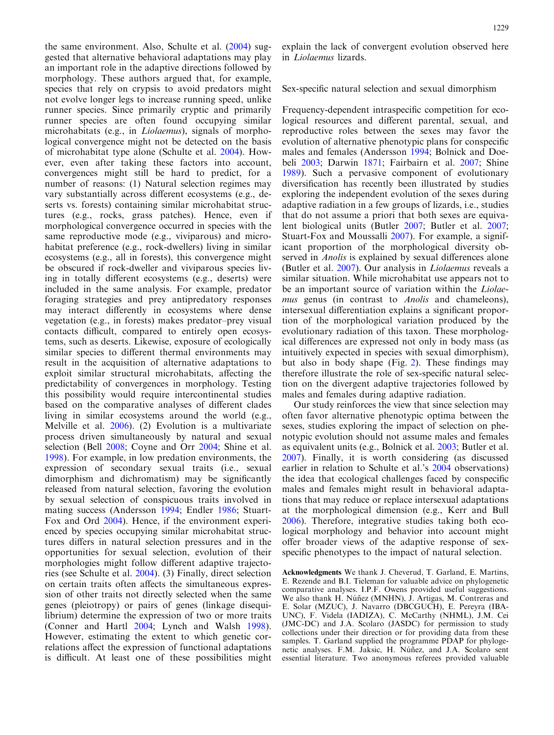the same environment. Also, Schulte et al. [\(2004\)](#page-8-0) suggested that alternative behavioral adaptations may play an important role in the adaptive directions followed by morphology. These authors argued that, for example, species that rely on crypsis to avoid predators might not evolve longer legs to increase running speed, unlike runner species. Since primarily cryptic and primarily runner species are often found occupying similar microhabitats (e.g., in Liolaemus), signals of morphological convergence might not be detected on the basis of microhabitat type alone (Schulte et al. [2004](#page-8-0)). However, even after taking these factors into account, convergences might still be hard to predict, for a number of reasons: (1) Natural selection regimes may vary substantially across different ecosystems (e.g., deserts vs. forests) containing similar microhabitat structures (e.g., rocks, grass patches). Hence, even if morphological convergence occurred in species with the same reproductive mode (e.g., viviparous) and microhabitat preference (e.g., rock-dwellers) living in similar ecosystems (e.g., all in forests), this convergence might be obscured if rock-dweller and viviparous species living in totally different ecosystems (e.g., deserts) were included in the same analysis. For example, predator foraging strategies and prey antipredatory responses may interact differently in ecosystems where dense vegetation (e.g., in forests) makes predator–prey visual contacts difficult, compared to entirely open ecosystems, such as deserts. Likewise, exposure of ecologically similar species to different thermal environments may result in the acquisition of alternative adaptations to exploit similar structural microhabitats, affecting the predictability of convergences in morphology. Testing this possibility would require intercontinental studies based on the comparative analyses of different clades living in similar ecosystems around the world (e.g., Melville et al. [2006\)](#page-8-0). (2) Evolution is a multivariate process driven simultaneously by natural and sexual selection (Bell [2008](#page-7-0); Coyne and Orr [2004](#page-7-0); Shine et al. [1998](#page-8-0)). For example, in low predation environments, the expression of secondary sexual traits (i.e., sexual dimorphism and dichromatism) may be significantly released from natural selection, favoring the evolution by sexual selection of conspicuous traits involved in mating success (Andersson [1994;](#page-7-0) Endler [1986](#page-7-0); Stuart-Fox and Ord [2004\)](#page-8-0). Hence, if the environment experienced by species occupying similar microhabitat structures differs in natural selection pressures and in the opportunities for sexual selection, evolution of their morphologies might follow different adaptive trajectories (see Schulte et al. [2004\)](#page-8-0). (3) Finally, direct selection on certain traits often affects the simultaneous expression of other traits not directly selected when the same genes (pleiotropy) or pairs of genes (linkage disequilibrium) determine the expression of two or more traits (Conner and Hartl [2004](#page-7-0); Lynch and Walsh [1998\)](#page-8-0). However, estimating the extent to which genetic correlations affect the expression of functional adaptations is difficult. At least one of these possibilities might

explain the lack of convergent evolution observed here in Liolaemus lizards.

#### Sex-specific natural selection and sexual dimorphism

Frequency-dependent intraspecific competition for ecological resources and different parental, sexual, and reproductive roles between the sexes may favor the evolution of alternative phenotypic plans for conspecific males and females (Andersson [1994;](#page-7-0) Bolnick and Doebeli [2003](#page-7-0); Darwin [1871](#page-7-0); Fairbairn et al. [2007](#page-7-0); Shine [1989\)](#page-8-0). Such a pervasive component of evolutionary diversification has recently been illustrated by studies exploring the independent evolution of the sexes during adaptive radiation in a few groups of lizards, i.e., studies that do not assume a priori that both sexes are equivalent biological units (Butler [2007;](#page-7-0) Butler et al. [2007](#page-7-0); Stuart-Fox and Moussalli [2007](#page-8-0)). For example, a significant proportion of the morphological diversity observed in *Anolis* is explained by sexual differences alone (Butler et al. [2007](#page-7-0)). Our analysis in Liolaemus reveals a similar situation. While microhabitat use appears not to be an important source of variation within the Liolaemus genus (in contrast to *Anolis* and chameleons), intersexual differentiation explains a significant proportion of the morphological variation produced by the evolutionary radiation of this taxon. These morphological differences are expressed not only in body mass (as intuitively expected in species with sexual dimorphism), but also in body shape (Fig. [2\)](#page-4-0). These findings may therefore illustrate the role of sex-specific natural selection on the divergent adaptive trajectories followed by males and females during adaptive radiation.

Our study reinforces the view that since selection may often favor alternative phenotypic optima between the sexes, studies exploring the impact of selection on phenotypic evolution should not assume males and females as equivalent units (e.g., Bolnick et al. [2003;](#page-7-0) Butler et al. [2007\)](#page-7-0). Finally, it is worth considering (as discussed earlier in relation to Schulte et al.'s [2004](#page-8-0) observations) the idea that ecological challenges faced by conspecific males and females might result in behavioral adaptations that may reduce or replace intersexual adaptations at the morphological dimension (e.g., Kerr and Bull [2006\)](#page-8-0). Therefore, integrative studies taking both ecological morphology and behavior into account might offer broader views of the adaptive response of sexspecific phenotypes to the impact of natural selection.

Acknowledgments We thank J. Cheverud, T. Garland, E. Martins, E. Rezende and B.I. Tieleman for valuable advice on phylogenetic comparative analyses. I.P.F. Owens provided useful suggestions. We also thank H. Núñez (MNHN), J. Artigas, M. Contreras and E. Solar (MZUC), J. Navarro (DBCGUCH), E. Pereyra (IBA-UNC), F. Videla (IADIZA), C. McCarthy (NHML), J.M. Cei (JMC-DC) and J.A. Scolaro (JASDC) for permission to study collections under their direction or for providing data from these samples. T. Garland supplied the programme PDAP for phylogenetic analyses. F.M. Jaksic, H. Núñez, and J.A. Scolaro sent essential literature. Two anonymous referees provided valuable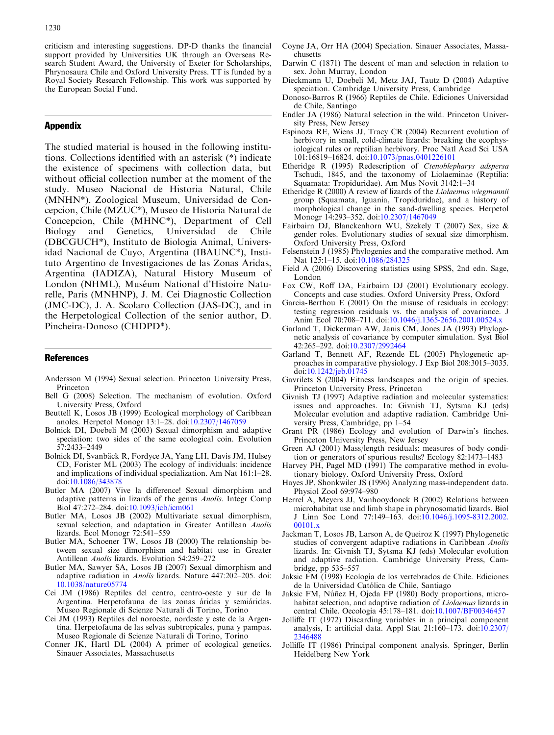<span id="page-7-0"></span>criticism and interesting suggestions. DP-D thanks the financial support provided by Universities UK through an Overseas Research Student Award, the University of Exeter for Scholarships, Phrynosaura Chile and Oxford University Press. TT is funded by a Royal Society Research Fellowship. This work was supported by the European Social Fund.

# Appendix

The studied material is housed in the following institutions. Collections identified with an asterisk (\*) indicate the existence of specimens with collection data, but without official collection number at the moment of the study. Museo Nacional de Historia Natural, Chile (MNHN\*), Zoological Museum, Universidad de Concepcion, Chile (MZUC\*), Museo de Historia Natural de Concepcion, Chile (MHNC\*), Department of Cell Biology and Genetics, Universidad de Chile (DBCGUCH\*), Instituto de Biologia Animal, Universidad Nacional de Cuyo, Argentina (IBAUNC\*), Instituto Argentino de Investigaciones de las Zonas Aridas, Argentina (IADIZA), Natural History Museum of London (NHML), Muséum National d'Histoire Naturelle, Paris (MNHNP), J. M. Cei Diagnostic Collection (JMC-DC), J. A. Scolaro Collection (JAS-DC), and in the Herpetological Collection of the senior author, D. Pincheira-Donoso (CHDPD\*).

### References

- Andersson M (1994) Sexual selection. Princeton University Press, Princeton
- Bell G (2008) Selection. The mechanism of evolution. Oxford University Press, Oxford
- Beuttell K, Losos JB (1999) Ecological morphology of Caribbean anoles. Herpetol Monogr 13:1–28. doi[:10.2307/1467059](http://dx.doi.org/10.2307/1467059)
- Bolnick DI, Doebeli M (2003) Sexual dimorphism and adaptive speciation: two sides of the same ecological coin. Evolution 57:2433–2449
- Bolnick DI, Svanbäck R, Fordyce JA, Yang LH, Davis JM, Hulsey CD, Forister ML (2003) The ecology of individuals: incidence and implications of individual specialization. Am Nat 161:1–28. doi:[10.1086/343878](http://dx.doi.org/10.1086/343878)
- Butler MA (2007) Vive la difference! Sexual dimorphism and adaptive patterns in lizards of the genus Anolis. Integr Comp Biol 47:272–284. doi:[10.1093/icb/icm061](http://dx.doi.org/10.1093/icb/icm061)
- Butler MA, Losos JB (2002) Multivariate sexual dimorphism, sexual selection, and adaptation in Greater Antillean Anolis lizards. Ecol Monogr 72:541–559
- Butler MA, Schoener TW, Losos JB (2000) The relationship between sexual size dimorphism and habitat use in Greater Antillean Anolis lizards. Evolution 54:259–272
- Butler MA, Sawyer SA, Losos JB (2007) Sexual dimorphism and adaptive radiation in Anolis lizards. Nature 447:202–205. doi: [10.1038/nature05774](http://dx.doi.org/10.1038/nature05774)
- Cei JM (1986) Reptiles del centro, centro-oeste y sur de la Argentina. Herpetofauna de las zonas áridas y semiáridas. Museo Regionale di Scienze Naturali di Torino, Torino
- Cei JM (1993) Reptiles del noroeste, nordeste y este de la Argentina. Herpetofauna de las selvas subtropicales, puna y pampas. Museo Regionale di Scienze Naturali di Torino, Torino
- Conner JK, Hartl DL (2004) A primer of ecological genetics. Sinauer Associates, Massachusetts
- Coyne JA, Orr HA (2004) Speciation. Sinauer Associates, Massachusetts
- Darwin C (1871) The descent of man and selection in relation to sex. John Murray, London
- Dieckmann U, Doebeli M, Metz JAJ, Tautz D (2004) Adaptive speciation. Cambridge University Press, Cambridge
- Donoso-Barros R (1966) Reptiles de Chile. Ediciones Universidad de Chile, Santiago
- Endler JA (1986) Natural selection in the wild. Princeton University Press, New Jersey
- Espinoza RE, Wiens JJ, Tracy CR (2004) Recurrent evolution of herbivory in small, cold-climate lizards: breaking the ecophysiological rules or reptilian herbivory. Proc Natl Acad Sci USA 101:16819–16824. doi[:10.1073/pnas.0401226101](http://dx.doi.org/10.1073/pnas.0401226101)
- Etheridge R (1995) Redescription of Ctenoblepharys adspersa Tschudi, 1845, and the taxonomy of Liolaeminae (Reptilia: Squamata: Tropiduridae). Am Mus Novit 3142:1–34
- Etheridge R (2000) A review of lizards of the Liolaemus wiegmannii group (Squamata, Iguania, Tropiduridae), and a history of morphological change in the sand-dwelling species. Herpetol Monogr 14:293–352. doi:[10.2307/1467049](http://dx.doi.org/10.2307/1467049)
- Fairbairn DJ, Blanckenhorn WU, Szekely T (2007) Sex, size & gender roles. Evolutionary studies of sexual size dimorphism. Oxford University Press, Oxford
- Felsenstein J (1985) Phylogenies and the comparative method. Am Nat 125:1–15. doi[:10.1086/284325](http://dx.doi.org/10.1086/284325)
- Field A (2006) Discovering statistics using SPSS, 2nd edn. Sage, London
- Fox CW, Roff DA, Fairbairn DJ (2001) Evolutionary ecology. Concepts and case studies. Oxford University Press, Oxford
- Garcia-Berthou E (2001) On the misuse of residuals in ecology: testing regression residuals vs. the analysis of covariance. J Anim Ecol 70:708–711. doi:[10.1046/j.1365-2656.2001.00524.x](http://dx.doi.org/10.1046/j.1365-2656.2001.00524.x)
- Garland T, Dickerman AW, Janis CM, Jones JA (1993) Phylogenetic analysis of covariance by computer simulation. Syst Biol 42:265–292. doi:[10.2307/2992464](http://dx.doi.org/10.2307/2992464)
- Garland T, Bennett AF, Rezende EL (2005) Phylogenetic approaches in comparative physiology. J Exp Biol 208:3015–3035. doi[:10.1242/jeb.01745](http://dx.doi.org/10.1242/jeb.01745)
- Gavrilets S (2004) Fitness landscapes and the origin of species. Princeton University Press, Princeton
- Givnish TJ (1997) Adaptive radiation and molecular systematics: issues and approaches. In: Givnish TJ, Sytsma KJ (eds) Molecular evolution and adaptive radiation. Cambridge University Press, Cambridge, pp 1–54
- Grant PR (1986) Ecology and evolution of Darwin's finches. Princeton University Press, New Jersey
- Green AJ (2001) Mass/length residuals: measures of body condition or generators of spurious results? Ecology 82:1473–1483
- Harvey PH, Pagel MD (1991) The comparative method in evolutionary biology. Oxford University Press, Oxford
- Hayes JP, Shonkwiler JS (1996) Analyzing mass-independent data. Physiol Zool 69:974–980
- Herrel A, Meyers JJ, Vanhooydonck B (2002) Relations between microhabitat use and limb shape in phrynosomatid lizards. Biol J Linn Soc Lond 77:149–163. doi[:10.1046/j.1095-8312.2002.](http://dx.doi.org/10.1046/j.1095-8312.2002.00101.x) [00101.x](http://dx.doi.org/10.1046/j.1095-8312.2002.00101.x)
- Jackman T, Losos JB, Larson A, de Queiroz K (1997) Phylogenetic studies of convergent adaptive radiations in Caribbean Anolis lizards. In: Givnish TJ, Sytsma KJ (eds) Molecular evolution and adaptive radiation. Cambridge University Press, Cambridge, pp 535–557
- Jaksic FM (1998) Ecología de los vertebrados de Chile. Ediciones de la Universidad Católica de Chile, Santiago
- Jaksic FM, Núñez H, Ojeda FP (1980) Body proportions, microhabitat selection, and adaptive radiation of Liolaemus lizards in central Chile. Oecologia 45:178–181. doi[:10.1007/BF00346457](http://dx.doi.org/10.1007/BF00346457)
- Jolliffe IT (1972) Discarding variables in a principal component analysis, I: artificial data. Appl Stat 21:160–173. doi[:10.2307/](http://dx.doi.org/10.2307/2346488) [2346488](http://dx.doi.org/10.2307/2346488)
- Jolliffe IT (1986) Principal component analysis. Springer, Berlin Heidelberg New York